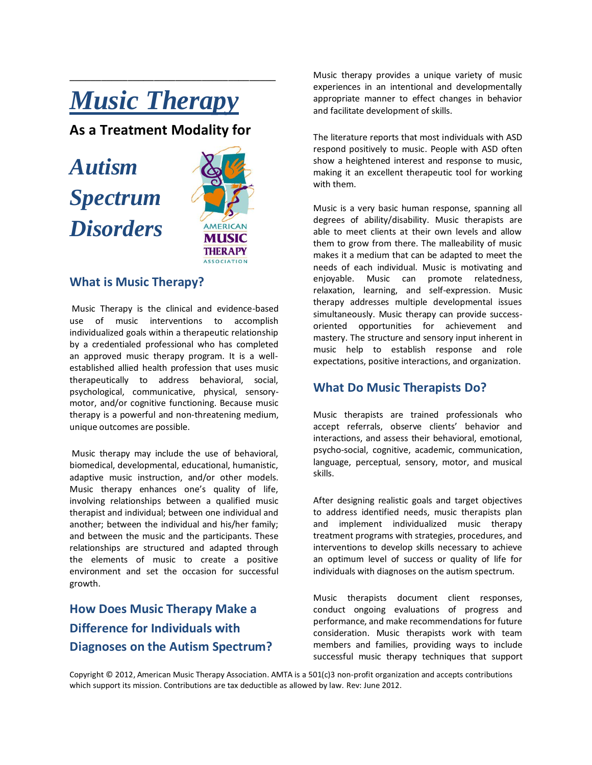# *Music Therapy*

**As a Treatment Modality for** 

\_\_\_\_\_\_\_\_\_\_\_\_\_\_\_\_\_\_\_\_\_\_\_\_\_\_\_\_\_\_\_\_\_\_\_\_\_\_\_

# *Autism Spectrum Disorders*



#### **What is Music Therapy?**

Music Therapy is the clinical and evidence-based use of music interventions to accomplish individualized goals within a therapeutic relationship by a credentialed professional who has completed an approved music therapy program. It is a wellestablished allied health profession that uses music therapeutically to address behavioral, social, psychological, communicative, physical, sensorymotor, and/or cognitive functioning. Because music therapy is a powerful and non-threatening medium, unique outcomes are possible.

Music therapy may include the use of behavioral, biomedical, developmental, educational, humanistic, adaptive music instruction, and/or other models. Music therapy enhances one's quality of life, involving relationships between a qualified music therapist and individual; between one individual and another; between the individual and his/her family; and between the music and the participants. These relationships are structured and adapted through the elements of music to create a positive environment and set the occasion for successful growth.

## **How Does Music Therapy Make a Difference for Individuals with Diagnoses on the Autism Spectrum?**

Music therapy provides a unique variety of music experiences in an intentional and developmentally appropriate manner to effect changes in behavior and facilitate development of skills.

The literature reports that most individuals with ASD respond positively to music. People with ASD often show a heightened interest and response to music, making it an excellent therapeutic tool for working with them.

Music is a very basic human response, spanning all degrees of ability/disability. Music therapists are able to meet clients at their own levels and allow them to grow from there. The malleability of music makes it a medium that can be adapted to meet the needs of each individual. Music is motivating and enjoyable. Music can promote relatedness, relaxation, learning, and self-expression. Music therapy addresses multiple developmental issues simultaneously. Music therapy can provide successoriented opportunities for achievement and mastery. The structure and sensory input inherent in music help to establish response and role expectations, positive interactions, and organization.

### **What Do Music Therapists Do?**

Music therapists are trained professionals who accept referrals, observe clients' behavior and interactions, and assess their behavioral, emotional, psycho-social, cognitive, academic, communication, language, perceptual, sensory, motor, and musical skills.

After designing realistic goals and target objectives to address identified needs, music therapists plan and implement individualized music therapy treatment programs with strategies, procedures, and interventions to develop skills necessary to achieve an optimum level of success or quality of life for individuals with diagnoses on the autism spectrum.

Music therapists document client responses, conduct ongoing evaluations of progress and performance, and make recommendations for future consideration. Music therapists work with team members and families, providing ways to include successful music therapy techniques that support

Copyright © 2012, American Music Therapy Association. AMTA is a 501(c)3 non-profit organization and accepts contributions which support its mission. Contributions are tax deductible as allowed by law. Rev: June 2012.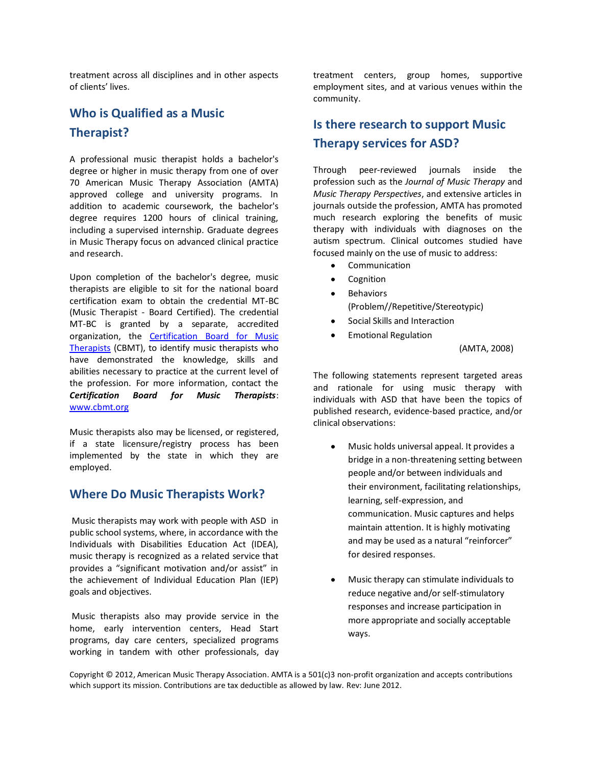treatment across all disciplines and in other aspects of clients' lives.

# **Who is Qualified as a Music Therapist?**

A professional music therapist holds a bachelor's degree or higher in music therapy from one of over 70 American Music Therapy Association (AMTA) approved college and university programs. In addition to academic coursework, the bachelor's degree requires 1200 hours of clinical training, including a supervised internship. Graduate degrees in Music Therapy focus on advanced clinical practice and research.

Upon completion of the bachelor's degree, music therapists are eligible to sit for the national board certification exam to obtain the credential MT-BC (Music Therapist - Board Certified). The credential MT-BC is granted by a separate, accredited organization, the [Certification Board for Music](http://www.cbmt.org/)  [Therapists](http://www.cbmt.org/) (CBMT), to identify music therapists who have demonstrated the knowledge, skills and abilities necessary to practice at the current level of the profession. For more information, contact the *Certification Board for Music Therapists*: [www.cbmt.org](http://www.cbmt.org/)

Music therapists also may be licensed, or registered, if a state licensure/registry process has been implemented by the state in which they are employed.

#### **Where Do Music Therapists Work?**

Music therapists may work with people with ASD in public school systems, where, in accordance with the Individuals with Disabilities Education Act (IDEA), music therapy is recognized as a related service that provides a "significant motivation and/or assist" in the achievement of Individual Education Plan (IEP) goals and objectives.

Music therapists also may provide service in the home, early intervention centers, Head Start programs, day care centers, specialized programs working in tandem with other professionals, day

treatment centers, group homes, supportive employment sites, and at various venues within the community.

## **Is there research to support Music Therapy services for ASD?**

Through peer-reviewed journals inside the profession such as the *Journal of Music Therapy* and *Music Therapy Perspectives*, and extensive articles in journals outside the profession, AMTA has promoted much research exploring the benefits of music therapy with individuals with diagnoses on the autism spectrum. Clinical outcomes studied have focused mainly on the use of music to address:

- Communication
- Cognition  $\bullet$
- Behaviors (Problem//Repetitive/Stereotypic)
- Social Skills and Interaction
- Emotional Regulation

(AMTA, 2008)

The following statements represent targeted areas and rationale for using music therapy with individuals with ASD that have been the topics of published research, evidence-based practice, and/or clinical observations:

- Music holds universal appeal. It provides a bridge in a non-threatening setting between people and/or between individuals and their environment, facilitating relationships, learning, self-expression, and communication. Music captures and helps maintain attention. It is highly motivating and may be used as a natural "reinforcer" for desired responses.
- Music therapy can stimulate individuals to reduce negative and/or self-stimulatory responses and increase participation in more appropriate and socially acceptable ways.

Copyright © 2012, American Music Therapy Association. AMTA is a 501(c)3 non-profit organization and accepts contributions which support its mission. Contributions are tax deductible as allowed by law. Rev: June 2012.